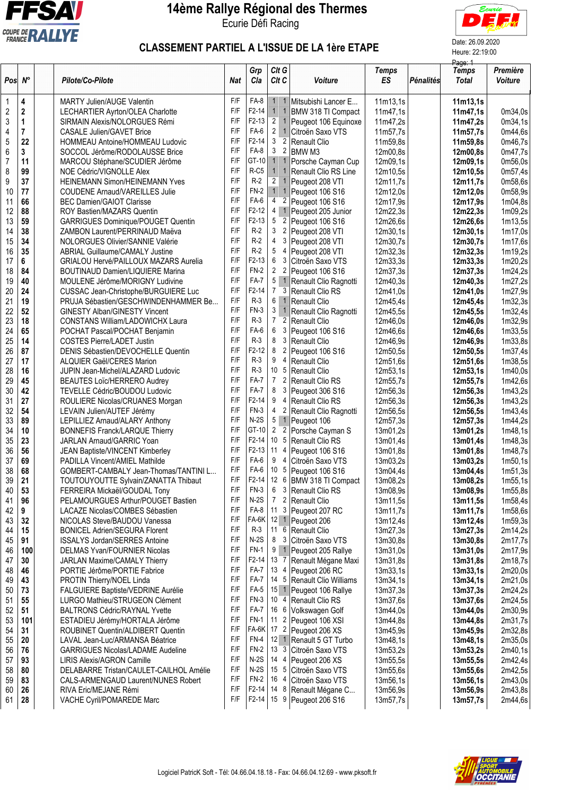

## **14ème Rallye Régional des Thermes** Ecurie Défi Racing



# CLASSEMENT PARTIEL A L'ISSUE DE LA 1ère ETAPE Date: 26.09.2020 Heure: 22:19:00

|                         |                |                                              |                         |             |                 |                |                            |                    |           | Page: 1                      |                            |
|-------------------------|----------------|----------------------------------------------|-------------------------|-------------|-----------------|----------------|----------------------------|--------------------|-----------|------------------------------|----------------------------|
| $Pos \, N^{\circ}$      |                | Pilote/Co-Pilote                             | <b>Nat</b>              | Grp<br>Cla  | Clt G<br>Clt C  |                | Voiture                    | <b>Temps</b><br>ES | Pénalités | <b>Temps</b><br><b>Total</b> | Première<br><b>Voiture</b> |
| 1                       | 4              | <b>MARTY Julien/AUGE Valentin</b>            | F/F                     | FA-8        | 1 <sup>1</sup>  | $\overline{1}$ | Mitsubishi Lancer E        | 11m13,1s           |           | 11m13,1s                     |                            |
| $\overline{\mathbf{c}}$ | $\mathbf 2$    | LECHARTIER Ayrton/OLEA Charlotte             | F/F                     | $F2-14$     | $1 \mid 1$      |                | BMW 318 TI Compact         | 11m47.1s           |           | 11m47,1s                     | 0m34,0s                    |
| 3                       | 1              | SIRMAIN Alexis/NOLORGUES Rémi                | F/F                     | $F2-13$     | $\overline{2}$  | $\mathbf{1}$   | Peugeot 106 Equinoxe       | 11m47,2s           |           | 11m47,2s                     | 0m34,1s                    |
| 4                       | $\overline{7}$ | <b>CASALE Julien/GAVET Brice</b>             | F/F                     | FA-6        | $\overline{2}$  | $\overline{1}$ | Citroën Saxo VTS           | 11m57,7s           |           | 11m57,7s                     | 0m44,6s                    |
| 5                       | 22             | HOMMEAU Antoine/HOMMEAU Ludovic              | F/F                     | $F2-14$     | $3\overline{2}$ |                | Renault Clio               | 11m59,8s           |           | 11m59,8s                     | 0m46,7s                    |
| 6                       | 3              | SOCCOL Jérôme/RODOLAUSSE Brice               | F/F                     | FA-8        | 3               | $\overline{2}$ | BMW M3                     | 12m00,8s           |           | 12m00,8s                     | 0m47,7s                    |
| $\overline{7}$          | 11             | MARCOU Stéphane/SCUDIER Jérôme               | F/F                     | GT-10       |                 |                | 1 1 Porsche Cayman Cup     | 12m09,1s           |           |                              | 0m56,0s                    |
| 8                       | 99             |                                              | F/F                     | $R-C5$      | 1               | $\overline{1}$ |                            | 12m10,5s           |           | 12m09,1s                     |                            |
|                         |                | NOE Cédric/VIGNOLLE Alex                     | F/F                     | $R-2$       | $\overline{2}$  | $\overline{1}$ | Renault Clio RS Line       |                    |           | 12m10,5s                     | 0m57,4s                    |
| 9                       | 37             | HEINEMANN Simon/HEINEMANN Yves               | F/F                     | $FN-2$      | $1 \quad 1$     |                | Peugeot 208 VTI            | 12m11,7s           |           | 12m11,7s                     | 0m58,6s                    |
| 10                      | 77             | <b>COUDENE Arnaud/VAREILLES Julie</b>        | F/F                     | $FA-6$      |                 |                | Peugeot 106 S16            | 12m12,0s           |           | 12m12,0s                     | 0m58,9s                    |
| 11                      | 66             | <b>BEC Damien/GAIOT Clarisse</b>             |                         |             | $\overline{4}$  | $\overline{2}$ | Peugeot 106 S16            | 12m17,9s           |           | 12m17,9s                     | 1m04,8s                    |
| 12                      | 88             | ROY Bastien/MAZARS Quentin                   | F/F                     | $F2-12$     |                 |                | 4 1 Peugeot 205 Junior     | 12m22,3s           |           | 12m22,3s                     | 1m09,2s                    |
| 13                      | 59             | <b>GARRIGUES Dominique/POUGET Quentin</b>    | F/F                     | $F2-13$     | $5\overline{2}$ |                | Peugeot 106 S16            | 12m26,6s           |           | 12m26,6s                     | 1m13,5s                    |
| 14                      | 38             | ZAMBON Laurent/PERRINAUD Maëva               | F/F                     | $R-2$       | 3               | $\overline{2}$ | Peugeot 208 VTI            | 12m30,1s           |           | 12m30,1s                     | 1m17,0s                    |
| 15                      | 34             | NOLORGUES Olivier/SANNIE Valérie             | F/F                     | $R-2$       | 4               |                | 3 Peugeot 208 VTI          | 12m30,7s           |           | 12m30,7s                     | 1m17,6s                    |
| 16                      | 35             | <b>ABRIAL Guillaume/CAMALY Justine</b>       | F/F                     | $R-2$       | $5\phantom{.0}$ |                | 4 Peugeot 208 VTI          | 12m32,3s           |           | 12m32,3s                     | 1m19,2s                    |
| 17                      | 6              | <b>GRIALOU Hervé/PAILLOUX MAZARS Aurelia</b> | F/F                     | $F2-13$     | 6               | 3              | Citroën Saxo VTS           | 12m33,3s           |           | 12m33,3s                     | 1m20,2s                    |
| 18                      | 84             | <b>BOUTINAUD Damien/LIQUIERE Marina</b>      | F/F                     | $FN-2$      | 2 <sub>2</sub>  |                | Peugeot 106 S16            | 12m37,3s           |           | 12m37,3s                     | 1m24,2s                    |
| 19                      | 40             | MOULENE Jérôme/MORIGNY Ludivine              | F/F                     | FA-7        |                 |                | 5 1 Renault Clio Ragnotti  | 12m40,3s           |           | 12m40,3s                     | 1m27,2s                    |
| 20                      | 24             | CUSSAC Jean-Christophe/BURGUIERE Luc         | F/F                     | $F2-14$     | $\overline{7}$  |                | 3 Renault Clio RS          | 12m41,0s           |           | 12m41,0s                     | 1m27,9s                    |
| 21                      | 19             | PRUJA Sébastien/GESCHWINDENHAMMER Be         | $\mathsf{F}/\mathsf{F}$ | $R-3$       |                 |                | 6 1 Renault Clio           | 12m45,4s           |           | 12m45,4s                     | 1m32,3s                    |
| 22                      | 52             | GINESTY Alban/GINESTY Vincent                | F/F                     | $FN-3$      | 3               | $\overline{1}$ | Renault Clio Ragnotti      | 12m45,5s           |           | 12m45,5s                     | 1m32,4s                    |
| 23                      | 18             | <b>CONSTANS William/LADOWICHX Laura</b>      | F/F                     | $R-3$       | 7 <sup>2</sup>  |                | Renault Clio               | 12m46,0s           |           | 12m46,0s                     | 1m32,9s                    |
| 24                      | 65             | POCHAT Pascal/POCHAT Benjamin                | F/F                     | FA-6        | 6               |                | 3 Peugeot 106 S16          | 12m46,6s           |           | 12m46,6s                     | 1m33,5s                    |
| 25                      | 14             | <b>COSTES Pierre/LADET Justin</b>            | F/F                     | $R-3$       | 8               | $\mathbf{3}$   | Renault Clio               | 12m46,9s           |           | 12m46,9s                     | 1m33,8s                    |
| 26                      | 87             | DENIS Sébastien/DEVOCHELLE Quentin           | F/F                     | $F2-12$     | 8               | $\overline{2}$ | Peugeot 106 S16            | 12m50,5s           |           | 12m50,5s                     | 1m37,4s                    |
|                         |                |                                              | F/F                     | $R-3$       | 9               | 4              |                            |                    |           |                              |                            |
| 27                      | 17             | <b>ALQUIER Gaël/CERES Marion</b>             | F/F                     | $R-3$       | 10 <sub>5</sub> |                | Renault Clio               | 12m51,6s           |           | 12m51,6s                     | 1m38,5s                    |
| 28                      | 16             | JUPIN Jean-Michel/ALAZARD Ludovic            |                         |             |                 |                | Renault Clio               | 12m53,1s           |           | 12m53,1s                     | 1m40,0s                    |
| 29                      | 45             | BEAUTES Loïc/HERRERO Audrey                  | F/F                     | FA-7        | 7 <sup>7</sup>  | $\overline{2}$ | Renault Clio RS            | 12m55,7s           |           | 12m55,7s                     | 1m42,6s                    |
| 30                      | 42             | TEVELLE Cédric/BOUDOU Ludovic                | F/F                     | FA-7        | 8               | 3              | Peugeot 306 S16            | 12m56,3s           |           | 12m56,3s                     | 1m43,2s                    |
| 31                      | 27             | ROULIERE Nicolas/CRUANES Morgan              | F/F                     | $F2-14$     | 9               | 4              | Renault Clio RS            | 12m56,3s           |           | 12m56,3s                     | 1m43,2s                    |
| 32                      | 54             | LEVAIN Julien/AUTEF Jérémy                   | F/F                     | $FN-3$      | $\overline{4}$  | $\overline{2}$ | Renault Clio Ragnotti      | 12m56,5s           |           | 12m56,5s                     | 1m43,4s                    |
| 33                      | 89             | LEPILLIEZ Arnaud/ALARY Anthony               | F/F                     | $N-2S$      |                 |                | 5 1 Peugeot 106            | 12m57,3s           |           | 12m57,3s                     | 1m44,2s                    |
| 34                      | 10             | <b>BONNEFIS Franck/LARQUE Thierry</b>        | F/F                     | GT-10       | $2^{\circ}$     | $\overline{2}$ | Porsche Cayman S           | 13m01,2s           |           | 13m01,2s                     | 1m48,1s                    |
| 35                      | 23             | JARLAN Arnaud/GARRIC Yoan                    | F/F                     | $F2-14$     | 10 <sub>5</sub> |                | Renault Clio RS            | 13m01,4s           |           | 13m01,4s                     | 1m48,3s                    |
| 36                      | 56             | JEAN Baptiste/VINCENT Kimberley              | F/F                     | $F2-13$     | $11 \quad 4$    |                | Peugeot 106 S16            | 13m01,8s           |           | 13m01,8s                     | 1m48,7s                    |
| 37                      | 69             | PADILLA Vincent/AMIEL Mathilde               | F/F                     | FA-6        | 9 4             |                | Citroën Saxo VTS           | 13m03,2s           |           | 13m03,2s                     | 1m50,1s                    |
| 38                      | 68             | GOMBERT-CAMBALY Jean-Thomas/TANTINI L        | F/F                     | $FA-6$      |                 |                | 10 5 Peugeot 106 S16       | 13m04,4s           |           | 13m04,4s                     | 1m51,3s                    |
| 39                      | 21             | TOUTOUYOUTTE Sylvain/ZANATTA Thibaut         | F/F                     | $F2-14$     |                 |                | 12 6 BMW 318 TI Compact    | 13m08,2s           |           | 13m08,2s                     | 1m55,1s                    |
| 40                      | 53             | FERREIRA Mickaël/GOUDAL Tony                 | F/F                     | $FN-3$      | 6               | 3              | Renault Clio RS            | 13m08,9s           |           | 13m08,9s                     | 1m55,8s                    |
| 41                      | 96             | PELAMOURGUES Arthur/POUGET Bastien           | F/F                     | $N-2S$      | $7\phantom{.}$  |                | 2 Renault Clio             | 13m11,5s           |           | 13m11,5s                     | 1m58,4s                    |
| 42                      | 9              | LACAZE Nicolas/COMBES Sébastien              | F/F                     | FA-8        |                 |                | 11 3 Peugeot 207 RC        | 13m11,7s           |           | 13m11,7s                     | 1m58,6s                    |
| 43                      | 32             | NICOLAS Steve/BAUDOU Vanessa                 | F/F                     | FA-6K       |                 |                | 12 1 Peugeot 206           | 13m12,4s           |           | 13m12,4s                     | 1m59,3s                    |
| 44                      | 15             | <b>BONICEL Adrien/SEGURA Florent</b>         | F/F                     | $R-3$       | 11 6            |                | Renault Clio               | 13m27,3s           |           | 13m27,3s                     | 2m14,2s                    |
| 45                      | 91             | <b>ISSALYS Jordan/SERRES Antoine</b>         | F/F                     | $N-2S$      | 8 3             |                | Citroën Saxo VTS           | 13m30,8s           |           | 13m30,8s                     | 2m17,7s                    |
| 46                      | 100            | DELMAS Yvan/FOURNIER Nicolas                 | F/F                     | FN-1        |                 |                | 9 1 Peugeot 205 Rallye     | 13m31,0s           |           | 13m31,0s                     | 2m17,9s                    |
| 47                      | 30             | <b>JARLAN Maxime/CAMALY Thierry</b>          | F/F                     | $F2-14$     | 13 7            |                | Renault Mégane Maxi        | 13m31,8s           |           | 13m31,8s                     | 2m18,7s                    |
| 48                      | 46             | PORTIE Jérôme/PORTIE Fabrice                 | F/F                     | FA-7        |                 |                | 13 4 Peugeot 206 RC        | 13m33,1s           |           | 13m33,1s                     | 2m20,0s                    |
|                         |                |                                              | F/F                     | <b>FA-7</b> |                 |                | 14 5 Renault Clio Williams |                    |           |                              |                            |
| 49                      | 43             | PROTIN Thierry/NOEL Linda                    |                         |             |                 |                |                            | 13m34,1s           |           | 13m34,1s                     | 2m21,0s                    |
| 50                      | 73             | FALGUIERE Baptiste/VEDRINE Aurélie           | F/F                     | FA-5        |                 |                | 15 1 Peugeot 106 Rallye    | 13m37,3s           |           | 13m37,3s                     | 2m24,2s                    |
| 51                      | 55             | LURGO Mathieu/STRUGEON Clément               | F/F                     | <b>FN-3</b> |                 |                | 10 4 Renault Clio RS       | 13m37,6s           |           | 13m37,6s                     | 2m24,5s                    |
| 52                      | 51             | <b>BALTRONS Cédric/RAYNAL Yvette</b>         | F/F                     | FA-7        | 166             |                | Volkswagen Golf            | 13m44,0s           |           | 13m44,0s                     | 2m30,9s                    |
| 53                      | 101            | ESTADIEU Jérémy/HORTALA Jérôme               | F/F                     | <b>FN-1</b> |                 |                | 11 2 Peugeot 106 XSI       | 13m44,8s           |           | 13m44,8s                     | 2m31,7s                    |
| 54                      | 31             | ROUBINET Quentin/ALDIBERT Quentin            | F/F                     | FA-6K       |                 |                | 17 2 Peugeot 206 XS        | 13m45,9s           |           | 13m45.9s                     | 2m32,8s                    |
| 55                      | 20             | LAVAL Jean-Luc/ARMANSA Béatrice              | F/F                     | <b>FN-4</b> |                 |                | 12 1 Renault 5 GT Turbo    | 13m48,1s           |           | 13m48,1s                     | 2m35,0s                    |
| 56                      | 76             | <b>GARRIGUES Nicolas/LADAME Audeline</b>     | F/F                     | $FN-2$      | 13 3            |                | Citroën Saxo VTS           | 13m53,2s           |           | 13m53,2s                     | 2m40,1s                    |
| 57                      | 93             | <b>LIRIS Alexis/AGRON Camille</b>            | F/F                     | $N-2S$      |                 |                | 14 4   Peugeot 206 XS      | 13m55,5s           |           | 13m55,5s                     | 2m42,4s                    |
| 58                      | 80             | DELABARRE Tristan/CAULET-CAILHOL Amélie      | F/F                     | $N-2S$      | 15 <sub>5</sub> |                | Citroën Saxo VTS           | 13m55,6s           |           | 13m55,6s                     | 2m42,5s                    |
| 59                      | 83             | CALS-ARMENGAUD Laurent/NUNES Robert          | F/F                     | <b>FN-2</b> | 16 4            |                | Citroën Saxo VTS           | 13m56,1s           |           | 13m56,1s                     | 2m43,0s                    |
| 60                      | 26             | RIVA Eric/MEJANE Rémi                        | F/F                     | F2-14       | 14 8            |                | Renault Mégane C           | 13m56,9s           |           | 13m56,9s                     | 2m43,8s                    |
| 61                      | 28             | VACHE Cyril/POMAREDE Marc                    | F/F                     | F2-14       |                 |                | 15 9 Peugeot 206 S16       | 13m57,7s           |           | 13m57,7s                     | 2m44,6s                    |
|                         |                |                                              |                         |             |                 |                |                            |                    |           |                              |                            |